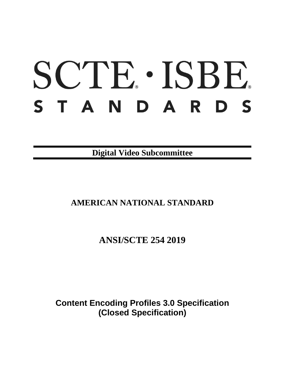# SCTE · ISBE. STANDARDS

**Digital Video Subcommittee**

## **AMERICAN NATIONAL STANDARD**

**ANSI/SCTE 254 2019**

**Content Encoding Profiles 3.0 Specification (Closed Specification)**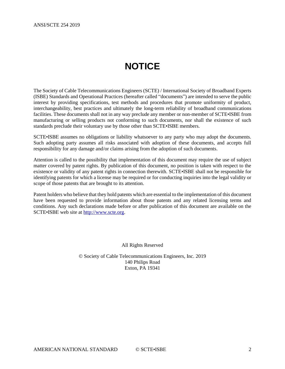# **NOTICE**

<span id="page-1-0"></span>The Society of Cable Telecommunications Engineers (SCTE) / International Society of Broadband Experts (ISBE) Standards and Operational Practices (hereafter called "documents") are intended to serve the public interest by providing specifications, test methods and procedures that promote uniformity of product, interchangeability, best practices and ultimately the long-term reliability of broadband communications facilities. These documents shall not in any way preclude any member or non-member of SCTE•ISBE from manufacturing or selling products not conforming to such documents, nor shall the existence of such standards preclude their voluntary use by those other than SCTE•ISBE members.

SCTE•ISBE assumes no obligations or liability whatsoever to any party who may adopt the documents. Such adopting party assumes all risks associated with adoption of these documents, and accepts full responsibility for any damage and/or claims arising from the adoption of such documents.

Attention is called to the possibility that implementation of this document may require the use of subject matter covered by patent rights. By publication of this document, no position is taken with respect to the existence or validity of any patent rights in connection therewith. SCTE•ISBE shall not be responsible for identifying patents for which a license may be required or for conducting inquiries into the legal validity or scope of those patents that are brought to its attention.

Patent holders who believe that they hold patents which are essential to the implementation of this document have been requested to provide information about those patents and any related licensing terms and conditions. Any such declarations made before or after publication of this document are available on the SCTE•ISBE web site at [http://www.scte.org.](http://www.scte.org/)

All Rights Reserved

© Society of Cable Telecommunications Engineers, Inc. 2019 140 Philips Road Exton, PA 19341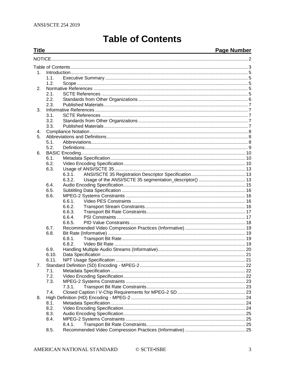<span id="page-2-0"></span>**Title** 

## **Table of Contents**

#### **Page Number**

| 1.             |       |        |  |
|----------------|-------|--------|--|
|                | 1.1.  |        |  |
|                | 1.2.  |        |  |
| 2.             |       |        |  |
|                | 2.1.  |        |  |
|                | 2.2.  |        |  |
|                | 2.3.  |        |  |
| 3.             |       |        |  |
|                | 3.1.  |        |  |
|                | 3.2.  |        |  |
|                | 3.3.  |        |  |
| 4.             |       |        |  |
| 5.             |       |        |  |
|                | 5.1.  |        |  |
|                | 5.2.  |        |  |
| 6.             |       |        |  |
|                | 6.1.  |        |  |
|                | 6.2.  |        |  |
|                | 6.3.  |        |  |
|                |       | 6.3.1. |  |
|                |       | 6.3.2. |  |
|                | 6.4.  |        |  |
|                | 6.5.  |        |  |
|                | 6.6.  |        |  |
|                |       | 6.6.1. |  |
|                |       | 6.6.2. |  |
|                |       | 6.6.3. |  |
|                |       | 6.6.4. |  |
|                |       | 6.6.5. |  |
|                | 6.7.  |        |  |
|                | 6.8.  |        |  |
|                |       | 6.8.1. |  |
|                |       | 6.8.2. |  |
|                | 6.9.  |        |  |
|                | 6.10. |        |  |
|                | 6.11. |        |  |
| 7 <sub>1</sub> |       |        |  |
|                | 7.1.  |        |  |
|                | 7.2.  |        |  |
|                | 7.3.  |        |  |
|                |       | 7.3.1. |  |
|                | 7.4.  |        |  |
| 8.             |       |        |  |
|                | 8.1.  |        |  |
|                | 8.2.  |        |  |
|                | 8.3.  |        |  |
|                | 8.4.  |        |  |
|                |       | 8.4.1. |  |
|                | 8.5.  |        |  |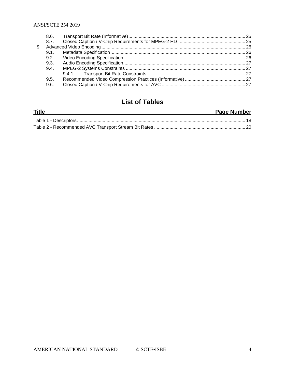| 9.1. |  |
|------|--|
| 9.2. |  |
| 9.3. |  |
| 9.4. |  |
|      |  |
| 9.5  |  |
| 9.6. |  |
|      |  |

## **List of Tables**

| <b>Title</b> | <b>Page Number</b> |
|--------------|--------------------|
|              |                    |
|              |                    |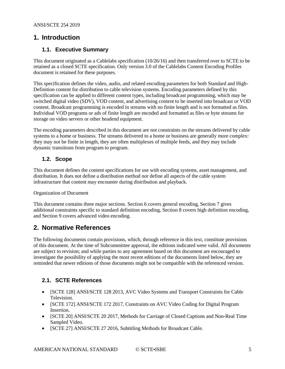#### <span id="page-4-0"></span>**1. Introduction**

#### <span id="page-4-1"></span>**1.1. Executive Summary**

This document originated as a Cablelabs specification (10/26/16) and then transferred over to SCTE to be retained as a closed SCTE specification. Only version 3.0 of the Cablelabs Content Encoding Profiles document is retained for these purposes.

This specification defines the video, audio, and related encoding parameters for both Standard and High-Definition content for distribution to cable television systems. Encoding parameters defined by this specification can be applied to different content types, including broadcast programming, which may be switched digital video (SDV), VOD content, and advertising content to be inserted into broadcast or VOD content. Broadcast programming is encoded in streams with no finite length and is not formatted as files. Individual VOD programs or ads of finite length are encoded and formatted as files or byte streams for storage on video servers or other headend equipment.

The encoding parameters described in this document are not constraints on the streams delivered by cable systems to a home or business. The streams delivered to a home or business are generally more complex: they may not be finite in length, they are often multiplexes of multiple feeds, and they may include dynamic transitions from program to program.

#### <span id="page-4-2"></span>**1.2. Scope**

This document defines the content specifications for use with encoding systems, asset management, and distribution. It does not define a distribution method nor define all aspects of the cable system infrastructure that content may encounter during distribution and playback.

#### Organization of Document

This document contains three major sections. Section 6 covers general encoding, Section 7 gives additional constraints specific to standard definition encoding, Section 8 covers high definition encoding, and Section 9 covers advanced video encoding.

## <span id="page-4-3"></span>**2. Normative References**

The following documents contain provisions, which, through reference in this text, constitute provisions of this document. At the time of Subcommittee approval, the editions indicated were valid. All documents are subject to revision; and while parties to any agreement based on this document are encouraged to investigate the possibility of applying the most recent editions of the documents listed below, they are reminded that newer editions of those documents might not be compatible with the referenced version.

#### <span id="page-4-4"></span>**2.1. SCTE References**

- <span id="page-4-6"></span>• [SCTE 128] ANSI/SCTE 128 2013, AVC Video Systems and Transport Constraints for Cable Television.
- <span id="page-4-5"></span>• [SCTE 172] ANSI/SCTE 172 2017, Constraints on AVC Video Coding for Digital Program Insertion.
- <span id="page-4-8"></span>• [SCTE 20] ANSI/SCTE 20 2017, Methods for Carriage of Closed Captions and Non-Real Time Sampled Video.
- <span id="page-4-7"></span>• [SCTE 27] ANSI/SCTE 27 2016, Subtitling Methods for Broadcast Cable.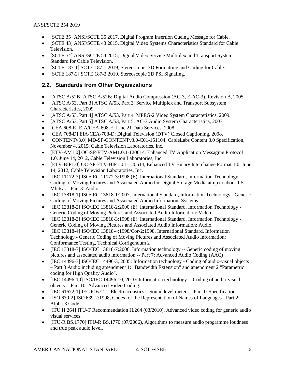- <span id="page-5-5"></span>• [SCTE 35] ANSI/SCTE 35 2017, Digital Program Insertion Cueing Message for Cable.
- <span id="page-5-3"></span>• [SCTE 43] ANSI/SCTE 43 2015, Digital Video Systems Characteristics Standard for Cable Television.
- <span id="page-5-18"></span>• [SCTE 54] ANSI/SCTE 54 2015, Digital Video Service Multiplex and Transport System Standard for Cable Television.
- <span id="page-5-4"></span>• [SCTE 187-1] SCTE 187-1 2019, Stereoscopic 3D Formatting and Coding for Cable.
- <span id="page-5-8"></span>• [SCTE 187-2] SCTE 187-2 2019, Stereoscopic 3D PSI Signaling.

#### <span id="page-5-0"></span>**2.2. Standards from Other Organizations**

- <span id="page-5-6"></span>• [ATSC A/52B] ATSC A/52B: Digital Audio Compression (AC-3, E-AC-3), Revision B, 2005.
- [ATSC A/53, Part 3] ATSC A/53, Part 3: Service Multiplex and Transport Subsystem Characteristics, 2009.
- <span id="page-5-12"></span>• [ATSC A/53, Part 4] ATSC A/53, Part 4: MPEG-2 Video System Characteristics, 2009.
- <span id="page-5-7"></span>• [ATSC A/53, Part 5] ATSC A/53, Part 5: AC-3 Audio System Characteristics, 2007.
- <span id="page-5-13"></span>• [CEA 608-E] EIA/CEA-608-E: Line 21 Data Services, 2008.
- [CEA 708-D] EIA/CEA-708-D: Digital Television (DTV) Closed Captioning, 2008.
- <span id="page-5-2"></span>• [CONTENTv3.0] MD-SP-CONTENTv3.0-C01-151104, CableLabs Content 3.0 Specification, November 4, 2015, Cable Television Laboratories, Inc.
- <span id="page-5-9"></span>• [ETV-AM1.0] OC-SP-ETV-AM1.0.1-120614, Enhanced TV Application Messaging Protocol 1.0, June 14, 2012, Cable Television Laboratories, Inc.
- <span id="page-5-10"></span>• [ETV-BIF1.0] OC-SP-ETV-BIF1.0.1-120614, Enhanced TV Binary Interchange Format 1.0, June 14, 2012, Cable Television Laboratories, Inc.
- <span id="page-5-14"></span>• [IEC 11172-3] ISO/IEC 11172-3:1998 (E), International Standard, Information Technology - Coding of Moving Pictures and Associated Audio for Digital Storage Media at up to about 1.5 Mbits/s – Part 3: Audio.
- <span id="page-5-1"></span>• [IEC 13818-1] ISO/IEC 13818-1:2007, International Standard, Information Technology - Generic Coding of Moving Pictures and Associated Audio Information: Systems.
- <span id="page-5-11"></span>• [IEC 13818-2] ISO/IEC 13818-2:2000 (E), International Standard, Information Technology - Generic Coding of Moving Pictures and Associated Audio Information: Video.
- <span id="page-5-17"></span>• **IIEC 13818-31 ISO/IEC 13818-3:1998 (E), International Standard, Information Technology -**Generic Coding of Moving Pictures and Associated Audio Information: Audio.
- [IEC 13818-4] ISO/IEC 13818-4:1998/Cor-2:1998, International Standard, Information Technology - Generic Coding of Moving Pictures and Associated Audio Information: Conformance Testing, Technical Corrigendum 2
- [IEC 13818-7] ISO/IEC 13818-7:2006, Information technology -- Generic coding of moving pictures and associated audio information -- Part 7: Advanced Audio Coding (AAC)
- <span id="page-5-15"></span>• [IEC 14496-3] ISO/IEC 14496-3, 2005: Information technology - Coding of audio-visual objects – Part 3 Audio including amendment 1: "Bandwidth Extension" and amendment 2 "Parametric coding for High Quality Audio".
- [IEC 14496-10] ISO/IEC 14496-10, 2010: Information technology -- Coding of audio-visual objects -- Part 10: Advanced Video Coding.
- **IEC 61672-11 IEC 61672-1, Electroacoustics Sound level meters Part 1: Specifications.**
- [ISO 639-2] ISO 639-2:1998, Codes for the Representation of Names of Languages Part 2: Alpha-3 Code.
- <span id="page-5-16"></span>• **ITU H.264] ITU-T Recommendation H.264 (03/2010), Advanced video coding for generic audio** visual services.
- [ITU-R BS.1770] ITU-R BS.1770 (07/2006), Algorithms to measure audio programme loudness and true peak audio level.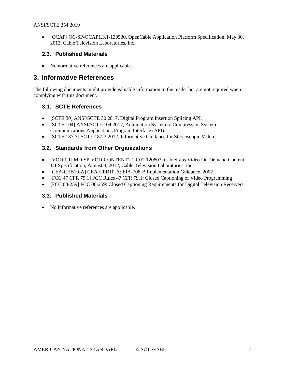<span id="page-6-5"></span>• [OCAP] OC-SP-OCAP1.3.1-130530, OpenCable Application Platform Specification, May 30, 2013, Cable Television Laboratories, Inc.

#### <span id="page-6-0"></span>**2.3. Published Materials**

• No normative references are applicable.

#### <span id="page-6-1"></span>**3. Informative References**

The following documents might provide valuable information to the reader but are not required when complying with this document.

#### <span id="page-6-2"></span>**3.1. SCTE References**

- [SCTE 30] ANSI/SCTE 30 2017, Digital Program Insertion Splicing API.
- [SCTE 104] ANSI/SCTE 104 2017, Automation System to Compression System Communications Applications Program Interface (API).
- [SCTE 187-3] SCTE 187-3 2012, Informative Guidance for Stereoscopic Video.

#### <span id="page-6-3"></span>**3.2. Standards from Other Organizations**

- [VOD 1.1] MD-SP-VOD-CONTENT1.1-C01-120803, CableLabs Video-On-Demand Content 1.1 Specification, August 3, 2012, Cable Television Laboratories, Inc.
- [CEA-CEB10-A] CEA-CEB10-A: EIA-708-B Implementation Guidance, 2002
- <span id="page-6-6"></span>• [FCC 47 CFR 79.1] FCC Rules 47 CFR 79.1: Closed Captioning of Video Programming
- <span id="page-6-7"></span>• [FCC 00-259] FCC 00-259: Closed Captioning Requirements for Digital Television Receivers

#### <span id="page-6-4"></span>**3.3. Published Materials**

• No informative references are applicable.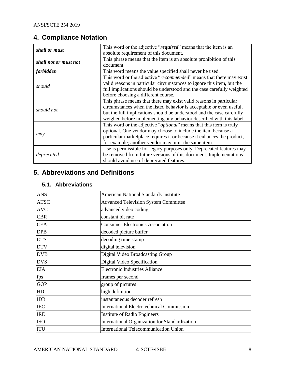## <span id="page-7-0"></span>**4. Compliance Notation**

| shall or must         | This word or the adjective "required" means that the item is an              |
|-----------------------|------------------------------------------------------------------------------|
|                       | absolute requirement of this document.                                       |
| shall not or must not | This phrase means that the item is an absolute prohibition of this           |
|                       | document.                                                                    |
| forbidden             | This word means the value specified shall never be used.                     |
|                       | This word or the adjective "recommended" means that there may exist          |
|                       | valid reasons in particular circumstances to ignore this item, but the       |
| should                | full implications should be understood and the case carefully weighted       |
|                       | before choosing a different course.                                          |
|                       | This phrase means that there may exist valid reasons in particular           |
| should not            | circumstances when the listed behavior is acceptable or even useful,         |
|                       | but the full implications should be understood and the case carefully        |
|                       | weighed before implementing any behavior described with this label.          |
|                       | This word or the adjective " <i>optional</i> " means that this item is truly |
|                       | optional. One vendor may choose to include the item because a                |
| may                   | particular marketplace requires it or because it enhances the product,       |
|                       | for example; another vendor may omit the same item.                          |
|                       | Use is permissible for legacy purposes only. Deprecated features may         |
| deprecated            | be removed from future versions of this document. Implementations            |
|                       | should avoid use of deprecated features.                                     |

## <span id="page-7-1"></span>**5. Abbreviations and Definitions**

### <span id="page-7-2"></span>**5.1. Abbreviations**

| <b>ANSI</b> | <b>American National Standards Institute</b>          |
|-------------|-------------------------------------------------------|
| <b>ATSC</b> | <b>Advanced Television System Committee</b>           |
| <b>AVC</b>  | advanced video coding                                 |
| <b>CBR</b>  | constant bit rate                                     |
| <b>CEA</b>  | <b>Consumer Electronics Association</b>               |
| <b>DPB</b>  | decoded picture buffer                                |
| <b>DTS</b>  | decoding time stamp                                   |
| <b>DTV</b>  | digital television                                    |
| <b>DVB</b>  | Digital Video Broadcasting Group                      |
| <b>DVS</b>  | Digital Video Specification                           |
| <b>EIA</b>  | <b>Electronic Industries Alliance</b>                 |
| fps         | frames per second                                     |
| <b>GOP</b>  | group of pictures                                     |
| HD          | high definition                                       |
| <b>IDR</b>  | instantaneous decoder refresh                         |
| <b>IEC</b>  | <b>International Electrotechnical Commission</b>      |
| <b>IRE</b>  | Institute of Radio Engineers                          |
| <b>ISO</b>  | <b>International Organization for Standardization</b> |
| <b>ITU</b>  | <b>International Telecommunication Union</b>          |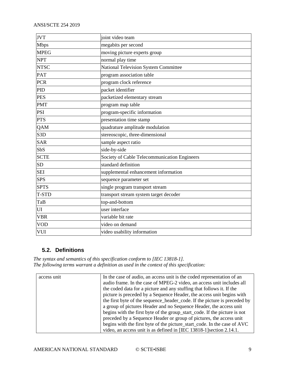| <b>JVT</b>       | joint video team                             |  |
|------------------|----------------------------------------------|--|
| <b>Mbps</b>      | megabits per second                          |  |
| <b>MPEG</b>      | moving picture experts group                 |  |
| <b>NPT</b>       | normal play time                             |  |
| <b>NTSC</b>      | National Television System Committee         |  |
| <b>PAT</b>       | program association table                    |  |
| <b>PCR</b>       | program clock reference                      |  |
| <b>PID</b>       | packet identifier                            |  |
| <b>PES</b>       | packetized elementary stream                 |  |
| <b>PMT</b>       | program map table                            |  |
| <b>PSI</b>       | program-specific information                 |  |
| <b>PTS</b>       | presentation time stamp                      |  |
| QAM              | quadrature amplitude modulation              |  |
| S <sub>3</sub> D | stereoscopic, three-dimensional              |  |
| <b>SAR</b>       | sample aspect ratio                          |  |
| SbS              | side-by-side                                 |  |
| <b>SCTE</b>      | Society of Cable Telecommunication Engineers |  |
| <b>SD</b>        | standard definition                          |  |
| <b>SEI</b>       | supplemental enhancement information         |  |
| <b>SPS</b>       | sequence parameter set                       |  |
| <b>SPTS</b>      | single program transport stream              |  |
| <b>T-STD</b>     | transport stream system target decoder       |  |
| TaB              | top-and-bottom                               |  |
| UI               | user interface                               |  |
| <b>VBR</b>       | variable bit rate                            |  |
| <b>VOD</b>       | video on demand                              |  |
| <b>VUI</b>       | video usability information                  |  |

#### <span id="page-8-0"></span>**5.2. Definitions**

*The syntax and semantics of this specification conform to [\[IEC 13818-1\].](#page-5-1) The following terms warrant a definition as used in the context of this specification:*

| access unit | In the case of audio, an access unit is the coded representation of an<br>audio frame. In the case of MPEG-2 video, an access unit includes all |
|-------------|-------------------------------------------------------------------------------------------------------------------------------------------------|
|             |                                                                                                                                                 |
|             | the coded data for a picture and any stuffing that follows it. If the                                                                           |
|             | picture is preceded by a Sequence Header, the access unit begins with                                                                           |
|             | the first byte of the sequence_header_code. If the picture is preceded by                                                                       |
|             | a group of pictures Header and no Sequence Header, the access unit                                                                              |
|             | begins with the first byte of the group_start_code. If the picture is not                                                                       |
|             | preceded by a Sequence Header or group of pictures, the access unit                                                                             |
|             | begins with the first byte of the picture_start_code. In the case of AVC                                                                        |
|             | video, an access unit is as defined in [IEC 13818-1] section 2.14.1.                                                                            |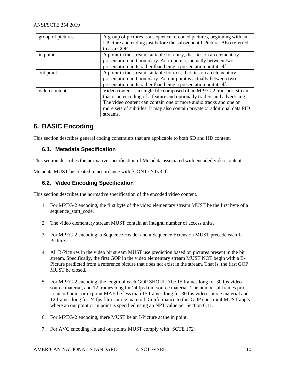| group of pictures | A group of pictures is a sequence of coded pictures, beginning with an     |
|-------------------|----------------------------------------------------------------------------|
|                   | I-Picture and ending just before the subsequent I-Picture. Also referred   |
|                   | to as a GOP.                                                               |
| in point          | A point in the stream, suitable for entry, that lies on an elementary      |
|                   | presentation unit boundary. An in point is actually between two            |
|                   | presentation units rather than being a presentation unit itself.           |
| out point         | A point in the stream, suitable for exit, that lies on an elementary       |
|                   | presentation unit boundary. An out point is actually between two           |
|                   | presentation units rather than being a presentation unit itself.           |
| video content     | Video content is a single file composed of an MPEG-2 transport stream      |
|                   | that is an encoding of a feature and optionally trailers and advertising.  |
|                   | The video content can contain one or more audio tracks and one or          |
|                   | more sets of subtitles. It may also contain private or additional data PID |
|                   | streams.                                                                   |

## <span id="page-9-0"></span>**6. BASIC Encoding**

<span id="page-9-1"></span>This section describes general coding constraints that are applicable to both SD and HD content.

#### **6.1. Metadata Specification**

This section describes the normative specification of Metadata associated with encoded video content.

<span id="page-9-2"></span>Metadata MUST be created in accordance with [\[CONTENTv3.0\]](#page-5-2)

#### **6.2. Video Encoding Specification**

This section describes the normative specification of the encoded video content.

- 1. For MPEG-2 encoding, the first byte of the video elementary stream MUST be the first byte of a sequence start code.
- 2. The video elementary stream MUST contain an integral number of access units.
- 3. For MPEG-2 encoding, a Sequence Header and a Sequence Extension MUST precede each I-Picture.
- 4. All B-Pictures in the video bit stream MUST use prediction based on pictures present in the bit stream. Specifically, the first GOP in the video elementary stream MUST NOT begin with a B-Picture predicted from a reference picture that does not exist in the stream. That is, the first GOP MUST be closed.
- 5. For MPEG-2 encoding, the length of each GOP SHOULD be 15 frames long for 30 fps videosource material, and 12 frames long for 24 fps film-source material. The number of frames prior to an out point or in point MAY be less than 15 frames long for 30 fps video-source material and 12 frames long for 24 fps film-source material. Conformance to this GOP constraint MUST apply where an out point or in point is specified using an NPT value per Section 6.11.
- 6. For MPEG-2 encoding, there MUST be an I-Picture at the in point.
- 7. For AVC encoding, In and out points MUST comply with [\[SCTE 172\].](#page-4-5)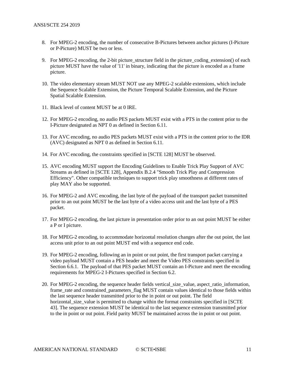- 8. For MPEG-2 encoding, the number of consecutive B-Pictures between anchor pictures (I-Picture or P-Picture) MUST be two or less.
- 9. For MPEG-2 encoding, the 2-bit picture structure field in the picture coding extension() of each picture MUST have the value of '11' in binary, indicating that the picture is encoded as a frame picture.
- 10. The video elementary stream MUST NOT use any MPEG-2 scalable extensions, which include the Sequence Scalable Extension, the Picture Temporal Scalable Extension, and the Picture Spatial Scalable Extension.
- 11. Black level of content MUST be at 0 IRE.
- 12. For MPEG-2 encoding, no audio PES packets MUST exist with a PTS in the content prior to the I-Picture designated as NPT 0 as defined in Section 6.11.
- 13. For AVC encoding, no audio PES packets MUST exist with a PTS in the content prior to the IDR (AVC) designated as NPT 0 as defined in Section 6.11.
- 14. For AVC encoding, the constraints specified in [\[SCTE 128\]](#page-4-6) MUST be observed.
- 15. AVC encoding MUST support the Encoding Guidelines to Enable Trick Play Support of AVC Streams as defined in [\[SCTE 128\],](#page-4-6) Appendix B.2.4 "Smooth Trick Play and Compression Efficiency". Other compatible techniques to support trick play smoothness at different rates of play MAY also be supported.
- 16. For MPEG-2 and AVC encoding, the last byte of the payload of the transport packet transmitted prior to an out point MUST be the last byte of a video access unit and the last byte of a PES packet.
- 17. For MPEG-2 encoding, the last picture in presentation order prior to an out point MUST be either a P or I picture.
- 18. For MPEG-2 encoding, to accommodate horizontal resolution changes after the out point, the last access unit prior to an out point MUST end with a sequence end code.
- 19. For MPEG-2 encoding, following an in point or out point, the first transport packet carrying a video payload MUST contain a PES header and meet the Video PES constraints specified in Section 6.6.1. The payload of that PES packet MUST contain an I-Picture and meet the encoding requirements for MPEG-2 I-Pictures specified in Section 6.2.
- 20. For MPEG-2 encoding, the sequence header fields vertical\_size\_value, aspect\_ratio\_information, frame rate and constrained parameters flag MUST contain values identical to those fields within the last sequence header transmitted prior to the in point or out point. The field horizontal\_size\_value is permitted to change within the format constraints specified in [SCTE] [43\].](#page-5-3) The sequence extension MUST be identical to the last sequence extension transmitted prior to the in point or out point. Field parity MUST be maintained across the in point or out point.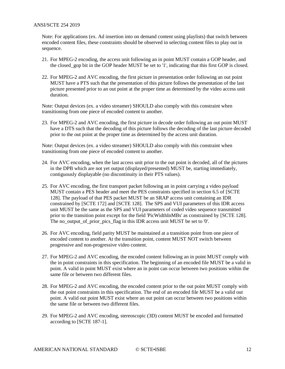Note: For applications (ex. Ad insertion into on demand content using playlists) that switch between encoded content files, these constraints should be observed in selecting content files to play out in sequence.

- 21. For MPEG-2 encoding, the access unit following an in point MUST contain a GOP header, and the closed\_gop bit in the GOP header MUST be set to '1', indicating that this first GOP is closed.
- 22. For MPEG-2 and AVC encoding, the first picture in presentation order following an out point MUST have a PTS such that the presentation of this picture follows the presentation of the last picture presented prior to an out point at the proper time as determined by the video access unit duration.

Note: Output devices (ex. a video streamer) SHOULD also comply with this constraint when transitioning from one piece of encoded content to another.

23. For MPEG-2 and AVC encoding, the first picture in decode order following an out point MUST have a DTS such that the decoding of this picture follows the decoding of the last picture decoded prior to the out point at the proper time as determined by the access unit duration.

Note: Output devices (ex. a video streamer) SHOULD also comply with this constraint when transitioning from one piece of encoded content to another.

- 24. For AVC encoding, when the last access unit prior to the out point is decoded, all of the pictures in the DPB which are not yet output (displayed/presented) MUST be, starting immediately, contiguously displayable (no discontinuity in their PTS values).
- 25. For AVC encoding, the first transport packet following an in point carrying a video payload MUST contain a PES header and meet the PES constraints specified in section 6.5 of [\[SCTE](#page-4-6)  [128\].](#page-4-6) The payload of that PES packet MUST be an SRAP access unit containing an IDR constrained by [\[SCTE 172\]](#page-4-5) and [\[SCTE 128\].](#page-4-6) The SPS and VUI parameters of this IDR access unit MUST be the same as the SPS and VUI parameters of coded video sequence transmitted prior to the transition point except for the field 'PicWidthInMBs' as constrained by [\[SCTE 128\].](#page-4-6) The no\_output\_of\_prior\_pics\_flag in this IDR access unit MUST be set to '0'.
- 26. For AVC encoding, field parity MUST be maintained at a transition point from one piece of encoded content to another. At the transition point, content MUST NOT switch between progressive and non-progressive video content.
- 27. For MPEG-2 and AVC encoding, the encoded content following an in point MUST comply with the in point constraints in this specification. The beginning of an encoded file MUST be a valid in point. A valid in point MUST exist where an in point can occur between two positions within the same file or between two different files.
- 28. For MPEG-2 and AVC encoding, the encoded content prior to the out point MUST comply with the out point constraints in this specification. The end of an encoded file MUST be a valid out point. A valid out point MUST exist where an out point can occur between two positions within the same file or between two different files.
- 29. For MPEG-2 and AVC encoding, stereoscopic (3D) content MUST be encoded and formatted according to [\[SCTE 187-1\].](#page-5-4)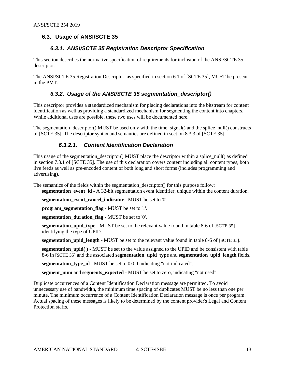#### <span id="page-12-1"></span><span id="page-12-0"></span>**6.3. Usage of ANSI/SCTE 35**

#### *6.3.1. ANSI/SCTE 35 Registration Descriptor Specification*

This section describes the normative specification of requirements for inclusion of the ANSI/SCTE 35 descriptor.

<span id="page-12-2"></span>The ANSI/SCTE 35 Registration Descriptor, as specified in section 6.1 of [\[SCTE 35\],](#page-5-5) MUST be present in the PMT.

#### *6.3.2. Usage of the ANSI/SCTE 35 segmentation\_descriptor()*

This descriptor provides a standardized mechanism for placing declarations into the bitstream for content identification as well as providing a standardized mechanism for segmenting the content into chapters. While additional uses are possible, these two uses will be documented here.

The segmentation\_descriptor() MUST be used only with the time\_signal() and the splice\_null() constructs of [SCTE 35]. The descriptor syntax and semantics are defined in section 8.3.3 of [\[SCTE 35\].](#page-5-5)

#### *6.3.2.1. Content Identification Declaration*

This usage of the segmentation\_descriptor() MUST place the descriptor within a splice\_null() as defined in section 7.3.1 of [\[SCTE 35\].](#page-5-5) The use of this declaration covers content including all content types, both live feeds as well as pre-encoded content of both long and short forms (includes programming and advertising).

The semantics of the fields within the segmentation\_descriptor() for this purpose follow: **segmentation\_event\_id** - A 32-bit segmentation event identifier, unique within the content duration.

**segmentation** event cancel indicator - MUST be set to '0'.

**program** segmentation flag - MUST be set to '1'.

**segmentation duration flag** - MUST be set to '0'.

**segmentation upid type** - MUST be set to the relevant value found in table 8-6 of [\[SCTE 35\]](#page-5-5) identifying the type of UPID.

**segmentation\_upid\_length** - MUST be set to the relevant value found in table 8-6 of [\[SCTE 35\]](#page-5-5).

**segmentation\_upid( )** - MUST be set to the value assigned to the UPID and be consistent with table 8-6 in [\[SCTE 35\]](#page-5-5) and the associated **segmentation\_upid\_type** and **segmentation\_upid\_length** fields.

**segmentation type id** - MUST be set to 0x00 indicating "not indicated".

**segment num** and **segments** expected - MUST be set to zero, indicating "not used".

Duplicate occurrences of a Content Identification Declaration message are permitted. To avoid unnecessary use of bandwidth, the minimum time spacing of duplicates MUST be no less than one per minute. The minimum occurrence of a Content Identification Declaration message is once per program. Actual spacing of these messages is likely to be determined by the content provider's Legal and Content Protection staffs.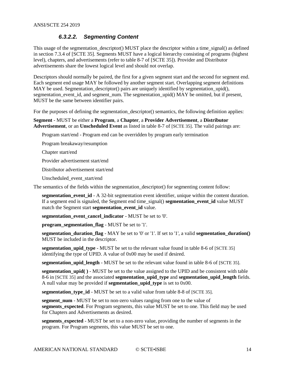#### *6.3.2.2. Segmenting Content*

This usage of the segmentation\_descriptor() MUST place the descriptor within a time\_signal() as defined in section 7.3.4 of [\[SCTE 35\].](#page-5-5) Segments MUST have a logical hierarchy consisting of programs (highest level), chapters, and advertisements (refer to table 8-7 of [\[SCTE 35\]\)](#page-5-5). Provider and Distributor advertisements share the lowest logical level and should not overlap.

Descriptors should normally be paired, the first for a given segment start and the second for segment end. Each segment end usage MAY be followed by another segment start. Overlapping segment definitions MAY be used. Segmentation\_descriptor() pairs are uniquely identified by segmentation\_upid(), segmentation event id, and segment num. The segmentation upid() MAY be omitted, but if present, MUST be the same between identifier pairs.

For the purposes of defining the segmentation descriptor() semantics, the following definition applies:

**Segment** - MUST be either a **Program**, a **Chapter**, a **Provider Advertisement**, a **Distributor Advertisement**, or an **Unscheduled Event** as listed in table 8-7 of [\[SCTE 35\]](#page-5-5). The valid pairings are:

Program start/end - Program end can be overridden by program early termination

Program breakaway/resumption

Chapter start/end

Provider advertisement start/end

Distributor advertisement start/end

Unscheduled\_event\_start/end

The semantics of the fields within the segmentation\_descriptor() for segmenting content follow:

**segmentation\_event\_id** - A 32-bit segmentation event identifier, unique within the content duration. If a segment end is signaled, the Segment end time signal() **segmentation event id** value MUST match the Segment start **segmentation** event id value.

**segmentation** event cancel indicator - MUST be set to '0'.

**program** segmentation flag - MUST be set to '1'.

**segmentation** duration flag - MAY be set to '0' or '1'. If set to '1', a valid **segmentation** duration() MUST be included in the descriptor.

**segmentation\_upid\_type** - MUST be set to the relevant value found in table 8-6 of [\[SCTE 35\]](#page-5-5) identifying the type of UPID. A value of 0x00 may be used if desired.

**segmentation upid length** - MUST be set to the relevant value found in table 8-6 of [\[SCTE 35\]](#page-5-5).

**segmentation upid()** - MUST be set to the value assigned to the UPID and be consistent with table 8-6 in [\[SCTE 35\]](#page-5-5) and the associated **segmentation\_upid\_type** and **segmentation\_upid\_length** fields. A null value may be provided if **segmentation\_upid\_type** is set to 0x00.

**segmentation type id** - MUST be set to a valid value from table 8-8 of [\[SCTE 35\]](#page-5-5).

**segment\_num** - MUST be set to non-zero values ranging from one to the value of **segments\_expected**. For Program segments, this value MUST be set to one. This field may be used for Chapters and Advertisements as desired.

**segments** expected - MUST be set to a non-zero value, providing the number of segments in the program. For Program segments, this value MUST be set to one.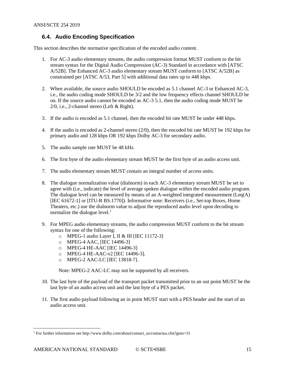#### <span id="page-14-0"></span>**6.4. Audio Encoding Specification**

This section describes the normative specification of the encoded audio content.

- 1. For AC-3 audio elementary streams, the audio compression format MUST conform to the bit stream syntax for the Digital Audio Compression (AC-3) Standard in accordance with [\[ATSC](#page-5-6)  [A/52B\].](#page-5-6) The Enhanced AC-3 audio elementary stream MUST conform to [\[ATSC A/52B\]](#page-5-6) as constrained per [\[ATSC A/53, Part 5\]](#page-5-7) with additional data rates up to 448 kbps.
- 2. When available, the source audio SHOULD be encoded as 5.1 channel AC-3 or Enhanced AC-3, i.e., the audio coding mode SHOULD be 3/2 and the low frequency effects channel SHOULD be on. If the source audio cannot be encoded as AC-3 5.1, then the audio coding mode MUST be 2/0, i.e., 2-channel stereo (Left & Right).
- 3. If the audio is encoded as 5.1 channel, then the encoded bit rate MUST be under 448 kbps.
- 4. If the audio is encoded as 2-channel stereo (2/0), then the encoded bit rate MUST be 192 kbps for primary audio and 128 kbps OR 192 kbps Dolby AC-3 for secondary audio.
- 5. The audio sample rate MUST be 48 kHz.
- 6. The first byte of the audio elementary stream MUST be the first byte of an audio access unit.
- 7. The audio elementary stream MUST contain an integral number of access units.
- 8. The dialogue normalization value (dialnorm) in each AC-3 elementary stream MUST be set to agree with (i.e., indicate) the level of average spoken dialogue within the encoded audio program. The dialogue level can be measured by means of an A-weighted integrated measurement (Leq(A) [IEC 61672-1] or [ITU-R BS.1770]). Informative note: Receivers (i.e., Set-top Boxes, Home Theaters, etc.) use the dialnorm value to adjust the reproduced audio level upon decoding to normalize the dialogue level. $<sup>1</sup>$ </sup>
- 9. For MPEG audio elementary streams, the audio compression MUST conform to the bit stream syntax for one of the following:
	- o MPEG-1 audio Layer I, II & III [IEC 11172-3]
	- o MPEG-4 AAC, [IEC 14496-3]
	- o MPEG-4 HE-AAC [IEC 14496-3]
	- o MPEG-4 HE-AAC-v2 [IEC 14496-3].
	- o MPEG-2 AAC-LC [IEC 13818-7].

Note: MPEG-2 AAC-LC may not be supported by all receivers.

- 10. The last byte of the payload of the transport packet transmitted prior to an out point MUST be the last byte of an audio access unit and the last byte of a PES packet.
- 11. The first audio payload following an in point MUST start with a PES header and the start of an audio access unit.

l

<sup>1</sup> For further information see http://www.dolby.com/about/contact\_us/contactus.cfm?goto=31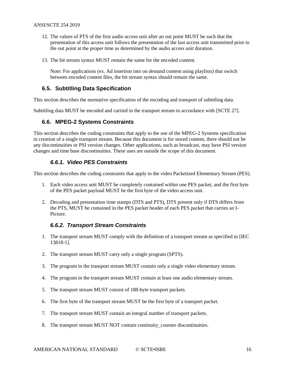- 12. The values of PTS of the first audio access unit after an out point MUST be such that the presentation of this access unit follows the presentation of the last access unit transmitted prior to the out point at the proper time as determined by the audio access unit duration.
- 13. The bit stream syntax MUST remain the same for the encoded content.

Note: For applications (ex. Ad insertion into on demand content using playlists) that switch between encoded content files, the bit stream syntax should remain the same.

#### <span id="page-15-0"></span>**6.5. Subtitling Data Specification**

This section describes the normative specification of the encoding and transport of subtitling data.

<span id="page-15-1"></span>Subtitling data MUST be encoded and carried in the transport stream in accordance with [\[SCTE 27\].](#page-4-7)

#### **6.6. MPEG-2 Systems Constraints**

This section describes the coding constraints that apply to the use of the MPEG-2 Systems specification in creation of a single transport stream. Because this document is for stored content, there should not be any discontinuities or PSI version changes. Other applications, such as broadcast, may have PSI version changes and time base discontinuities. These uses are outside the scope of this document.

#### *6.6.1. Video PES Constraints*

<span id="page-15-2"></span>This section describes the coding constraints that apply to the video Packetized Elementary Stream (PES).

- 1. Each video access unit MUST be completely contained within one PES packet, and the first byte of the PES packet payload MUST be the first byte of the video access unit.
- 2. Decoding and presentation time stamps (DTS and PTS), DTS present only if DTS differs from the PTS, MUST be contained in the PES packet header of each PES packet that carries an I-Picture.

#### <span id="page-15-3"></span>*6.6.2. Transport Stream Constraints*

- 1. The transport stream MUST comply with the definition of a transport stream as specified in [\[IEC](#page-5-1)  [13818-1\].](#page-5-1)
- 2. The transport stream MUST carry only a single program (SPTS).
- 3. The program in the transport stream MUST contain only a single video elementary stream.
- 4. The program in the transport stream MUST contain at least one audio elementary stream.
- 5. The transport stream MUST consist of 188-byte transport packets.
- 6. The first byte of the transport stream MUST be the first byte of a transport packet.
- 7. The transport stream MUST contain an integral number of transport packets.
- 8. The transport stream MUST NOT contain continuity\_counter discontinuities.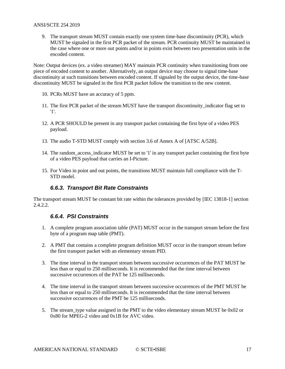#### ANSI/SCTE 254 2019

9. The transport stream MUST contain exactly one system time-base discontinuity (PCR), which MUST be signaled in the first PCR packet of the stream. PCR continuity MUST be maintained in the case where one or more out points and/or in points exist between two presentation units in the encoded content.

Note: Output devices (ex. a video streamer) MAY maintain PCR continuity when transitioning from one piece of encoded content to another. Alternatively, an output device may choose to signal time-base discontinuity at such transitions between encoded content. If signaled by the output device, the time-base discontinuity MUST be signaled in the first PCR packet follow the transition to the new content.

- 10. PCRs MUST have an accuracy of 5 ppm.
- 11. The first PCR packet of the stream MUST have the transport discontinuity\_indicator flag set to '1'.
- 12. A PCR SHOULD be present in any transport packet containing the first byte of a video PES payload.
- 13. The audio T-STD MUST comply with section 3.6 of Annex A of [\[ATSC A/52B\].](#page-5-6)
- 14. The random\_access\_indicator MUST be set to '1' in any transport packet containing the first byte of a video PES payload that carries an I-Picture.
- <span id="page-16-0"></span>15. For Video in point and out points, the transitions MUST maintain full compliance with the T-STD model.

#### *6.6.3. Transport Bit Rate Constraints*

<span id="page-16-1"></span>The transport stream MUST be constant bit rate within the tolerances provided by [\[IEC 13818-1\]](#page-5-1) section 2.4.2.2.

#### *6.6.4. PSI Constraints*

- 1. A complete program association table (PAT) MUST occur in the transport stream before the first byte of a program map table (PMT).
- 2. A PMT that contains a complete program definition MUST occur in the transport stream before the first transport packet with an elementary stream PID.
- 3. The time interval in the transport stream between successive occurrences of the PAT MUST be less than or equal to 250 milliseconds. It is recommended that the time interval between successive occurrences of the PAT be 125 milliseconds.
- 4. The time interval in the transport stream between successive occurrences of the PMT MUST be less than or equal to 250 milliseconds. It is recommended that the time interval between successive occurrences of the PMT be 125 milliseconds.
- 5. The stream\_type value assigned in the PMT to the video elementary stream MUST be 0x02 or 0x80 for MPEG-2 video and 0x1B for AVC video.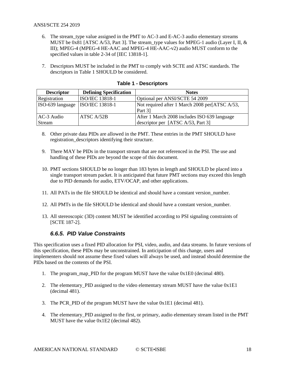- 6. The stream\_type value assigned in the PMT to AC-3 and E-AC-3 audio elementary streams MUST be 0x81 [ATSC A/53, Part 3]. The stream\_type values for MPEG-1 audio (Layer I, II, & III); MPEG-4 (MPEG-4 HE-AAC and MPEG-4 HE-AAC-v2) audio MUST conform to the specified values in table 2-34 o[f \[IEC 13818-1\].](#page-5-1)
- <span id="page-17-1"></span>7. Descriptors MUST be included in the PMT to comply with SCTE and ATSC standards. The descriptors in [Table 1](#page-17-1) SHOULD be considered.

| <b>Descriptor</b>           | <b>Defining Specification</b> | <b>Notes</b>                                                                       |
|-----------------------------|-------------------------------|------------------------------------------------------------------------------------|
| Registration                | ISO/IEC 13818-1               | Optional per ANSI/SCTE 54 2009                                                     |
| ISO-639 language            | <b>ISO/IEC 13818-1</b>        | Not required after 1 March 2008 per [ATSC A/53,<br>Part 31                         |
| AC-3 Audio<br><b>Stream</b> | ATSC A/52B                    | After 1 March 2008 includes ISO 639 language<br>descriptor per [ATSC A/53, Part 3] |

- 8. Other private data PIDs are allowed in the PMT. These entries in the PMT SHOULD have registration\_descriptors identifying their structure.
- 9. There MAY be PIDs in the transport stream that are not referenced in the PSI. The use and handling of these PIDs are beyond the scope of this document.
- 10. PMT sections SHOULD be no longer than 183 bytes in length and SHOULD be placed into a single transport stream packet. It is anticipated that future PMT sections may exceed this length due to PID demands for audio, ETV/OCAP, and other applications.
- 11. All PATs in the file SHOULD be identical and should have a constant version\_number.
- 12. All PMTs in the file SHOULD be identical and should have a constant version\_number.
- <span id="page-17-0"></span>13. All stereoscopic (3D) content MUST be identified according to PSI signaling constraints of [\[SCTE 187-2\].](#page-5-8)

#### *6.6.5. PID Value Constraints*

This specification uses a fixed PID allocation for PSI, video, audio, and data streams. In future versions of this specification, these PIDs may be unconstrained. In anticipation of this change, users and implementers should not assume these fixed values will always be used, and instead should determine the PIDs based on the contents of the PSI.

- 1. The program\_map\_PID for the program MUST have the value 0x1E0 (decimal 480).
- 2. The elementary PID assigned to the video elementary stream MUST have the value  $0x1E1$ (decimal 481).
- 3. The PCR\_PID of the program MUST have the value 0x1E1 (decimal 481).
- 4. The elementary\_PID assigned to the first, or primary, audio elementary stream listed in the PMT MUST have the value 0x1E2 (decimal 482).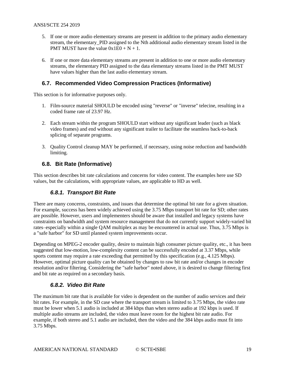- 5. If one or more audio elementary streams are present in addition to the primary audio elementary stream, the elementary\_PID assigned to the Nth additional audio elementary stream listed in the PMT MUST have the value  $0x1E0 + N + 1$ .
- 6. If one or more data elementary streams are present in addition to one or more audio elementary streams, the elementary PID assigned to the data elementary streams listed in the PMT MUST have values higher than the last audio elementary stream.

#### <span id="page-18-0"></span>**6.7. Recommended Video Compression Practices (Informative)**

This section is for informative purposes only.

- 1. Film-source material SHOULD be encoded using "reverse" or "inverse" telecine, resulting in a coded frame rate of 23.97 Hz.
- 2. Each stream within the program SHOULD start without any significant leader (such as black video frames) and end without any significant trailer to facilitate the seamless back-to-back splicing of separate programs.
- 3. Quality Control cleanup MAY be performed, if necessary, using noise reduction and bandwidth limiting.

#### <span id="page-18-1"></span>**6.8. Bit Rate (Informative)**

<span id="page-18-2"></span>This section describes bit rate calculations and concerns for video content. The examples here use SD values, but the calculations, with appropriate values, are applicable to HD as well.

#### *6.8.1. Transport Bit Rate*

There are many concerns, constraints, and issues that determine the optimal bit rate for a given situation. For example, success has been widely achieved using the 3.75 Mbps transport bit rate for SD; other rates are possible. However, users and implementers should be aware that installed and legacy systems have constraints on bandwidth and system resource management that do not currently support widely-varied bit rates–especially within a single QAM multiplex as may be encountered in actual use. Thus, 3.75 Mbps is a "safe harbor" for SD until planned system improvements occur.

Depending on MPEG-2 encoder quality, desire to maintain high consumer picture quality, etc., it has been suggested that low-motion, low-complexity content can be successfully encoded at 3.37 Mbps, while sports content may require a rate exceeding that permitted by this specification (e.g., 4.125 Mbps). However, optimal picture quality can be obtained by changes to raw bit rate and/or changes in encoder resolution and/or filtering. Considering the "safe harbor" noted above, it is desired to change filtering first and bit rate as required on a secondary basis.

#### *6.8.2. Video Bit Rate*

<span id="page-18-3"></span>The maximum bit rate that is available for video is dependent on the number of audio services and their bit rates. For example, in the SD case where the transport stream is limited to 3.75 Mbps, the video rate must be lower when 5.1 audio is included at 384 kbps than when stereo audio at 192 kbps is used. If multiple audio streams are included, the video must leave room for the highest bit rate audio. For example, if both stereo and 5.1 audio are included, then the video and the 384 kbps audio must fit into 3.75 Mbps.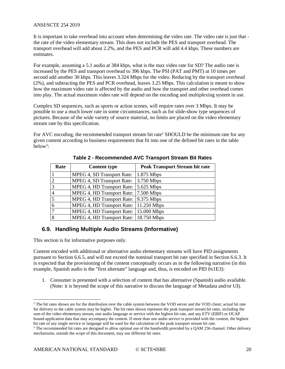#### ANSI/SCTE 254 2019

It is important to take overhead into account when determining the video rate. The video rate is just that the rate of the video elementary stream. This does not include the PES and transport overhead. The transport overhead will add about 2.2%, and the PES and PCR will add 4.4 kbps. These numbers are estimates.

For example, assuming a 5.1 audio at 384 kbps, what is the max video rate for SD? The audio rate is increased by the PES and transport overhead to 396 kbps. The PSI (PAT and PMT) at 10 times per second add another 30 kbps. This leaves 3.324 Mbps for the video. Reducing by the transport overhead (2%), and subtracting the PES and PCR overhead, leaves 3.25 Mbps. This calculation is meant to show how the maximum video rate is affected by the audio and how the transport and other overhead comes into play. The actual maximum video rate will depend on the encoding and multiplexing system in use.

Complex SD sequences, such as sports or action scenes, will require rates over 3 Mbps. It may be possible to use a much lower rate in some circumstances, such as for slide-show type sequences of pictures. Because of the wide variety of source material, no limits are placed on the video elementary stream rate by this specification.

<span id="page-19-1"></span>For AVC encoding, the recommended transport stream bit rate<sup>2</sup> SHOULD be the minimum rate for any given content according to business requirements that fit into one of the defined bit rates in the table below<sup>3</sup>:

| Rate          | <b>Content type</b>                    | <b>Peak Transport Stream bit rate</b> |
|---------------|----------------------------------------|---------------------------------------|
|               | <b>MPEG 4, SD Transport Rate:</b>      | 1.875 Mbps                            |
|               | <b>MPEG 4, SD Transport Rate:</b>      | 3.750 Mbps                            |
| $\mathcal{R}$ | <b>MPEG 4, HD Transport Rate:</b>      | $5.625$ Mbps                          |
|               | MPEG 4, HD Transport Rate:             | 7.500 Mbps                            |
|               | MPEG 4, HD Transport Rate: 19.375 Mbps |                                       |
| 6             | MPEG 4, HD Transport Rate: 11.250 Mbps |                                       |
| ⇁             | <b>MPEG 4, HD Transport Rate:</b>      | $15.000$ Mbps                         |
| 8             | MPEG 4, HD Transport Rate: 18.750 Mbps |                                       |

**Table 2 - Recommended AVC Transport Stream Bit Rates**

## <span id="page-19-0"></span>**6.9. Handling Multiple Audio Streams (Informative)**

This section is for informative purposes only.

Content encoded with additional or alternative audio elementary streams will have PID assignments pursuant to Section 6.6.5, and will not exceed the nominal transport bit rate specified in Section 6.6.3. It is expected that the provisioning of the content conceptually occurs as in the following narrative (in this example, Spanish audio is the "first alternate" language and, thus, is encoded on PID 0x1E3):

1. Consumer is presented with a selection of content that has alternative (Spanish) audio available. (Note: it is beyond the scope of this narrative to discuss the language of Metadata and/or UI).

 $\overline{a}$ <sup>2</sup> The bit rates shown are for the distribution over the cable system between the VOD server and the VOD client; actual bit rate for delivery to the cable system may be higher. The bit rates shown represent the peak transport stream bit rates, including the sum of the video elementary stream, one audio language or service with the highest bit rate, and any ETV (EBIF) or OCAP bound-application data that may accompany the content. If more than one audio service is provided with the content, the highest bit rate of any single service or language will be used for the calculation of the peak transport stream bit rate.

<sup>&</sup>lt;sup>3</sup> The recommended bit rates are designed to allow optimal use of the bandwidth provided by a QAM 256 channel. Other delivery mechanisms, outside the scope of this document, may use different bit rates.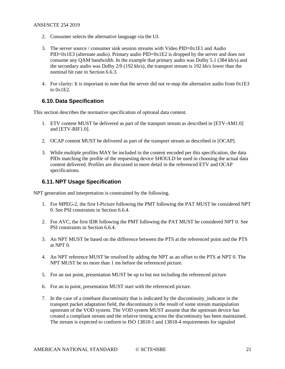- 2. Consumer selects the alternative language via the UI.
- 3. The server source / consumer sink session streams with Video PID=0x1E1 and Audio PID=0x1E3 (alternate audio). Primary audio PID=0x1E2 is dropped by the server and does not consume any QAM bandwidth. In the example that primary audio was Dolby 5.1 (384 kb/s) and the secondary audio was Dolby 2/0 (192 kb/s), the transport stream is 192 kb/s lower than the nominal bit rate in Section 6.6.3.
- 4. For clarity: It is important to note that the server did not re-map the alternative audio from 0x1E3 to 0x1E2.

#### <span id="page-20-0"></span>**6.10. Data Specification**

This section describes the normative specification of optional data content.

- 1. ETV content MUST be delivered as part of the transport stream as described in [\[ETV-AM1.0\]](#page-5-9) and [\[ETV-BIF1.0\].](#page-5-10)
- 2. OCAP content MUST be delivered as part of the transport stream as described in [\[OCAP\].](#page-6-5)
- 3. While multiple profiles MAY be included in the content encoded per this specification, the data PIDs matching the profile of the requesting device SHOULD be used in choosing the actual data content delivered. Profiles are discussed in more detail in the referenced ETV and OCAP specifications.

#### <span id="page-20-1"></span>**6.11. NPT Usage Specification**

NPT generation and interpretation is constrained by the following.

- 1. For MPEG-2, the first I-Picture following the PMT following the PAT MUST be considered NPT 0. See PSI constraints in Section 6.6.4.
- 2. For AVC, the first IDR following the PMT following the PAT MUST be considered NPT 0. See PSI constraints in Section 6.6.4.
- 3. An NPT MUST be based on the difference between the PTS at the referenced point and the PTS at NPT 0.
- 4. An NPT reference MUST be resolved by adding the NPT as an offset to the PTS at NPT 0. The NPT MUST be no more than 1 ms before the referenced picture.
- 5. For an out point, presentation MUST be up to but not including the referenced picture.
- 6. For an in point, presentation MUST start with the referenced picture.
- 7. In the case of a timebase discontinuity that is indicated by the discontinuity\_indicator in the transport packet adaptation field, the discontinuity is the result of some stream manipulation upstream of the VOD system. The VOD system MUST assume that the upstream device has created a compliant stream and the relative timing across the discontinuity has been maintained. The stream is expected to conform to ISO 13818-1 and 13818-4 requirements for signaled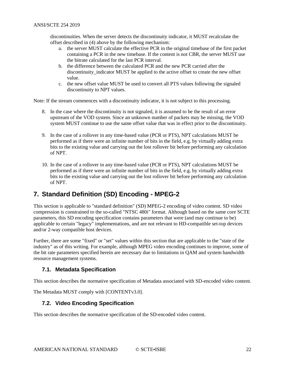discontinuities. When the server detects the discontinuity indicator, it MUST recalculate the offset described in (4) above by the following mechanism:

- a. the server MUST calculate the effective PCR in the original timebase of the first packet containing a PCR in the new timebase. If the content is not CBR, the server MUST use the bitrate calculated for the last PCR interval.
- b. the difference between the calculated PCR and the new PCR carried after the discontinuity\_indicator MUST be applied to the active offset to create the new offset value.
- c. the new offset value MUST be used to convert all PTS values following the signaled discontinuity to NPT values.

Note: If the stream commences with a discontinuity indicator, it is not subject to this processing.

- 8. In the case where the discontinuity is not signaled, it is assumed to be the result of an error upstream of the VOD system. Since an unknown number of packets may be missing, the VOD system MUST continue to use the same offset value that was in effect prior to the discontinuity.
- 9. In the case of a rollover in any time-based value (PCR or PTS), NPT calculations MUST be performed as if there were an infinite number of bits in the field, e.g. by virtually adding extra bits to the existing value and carrying out the lost rollover bit before performing any calculation of NPT.
- 10. In the case of a rollover in any time-based value (PCR or PTS), NPT calculations MUST be performed as if there were an infinite number of bits in the field, e.g. by virtually adding extra bits to the existing value and carrying out the lost rollover bit before performing any calculation of NPT.

## <span id="page-21-0"></span>**7. Standard Definition (SD) Encoding - MPEG-2**

This section is applicable to "standard definition" (SD) MPEG-2 encoding of video content. SD video compression is constrained to the so-called "NTSC 480i" format. Although based on the same core SCTE parameters, this SD encoding specification contains parameters that were (and may continue to be) applicable to certain "legacy" implementations, and are not relevant to HD-compatible set-top devices and/or 2-way compatible host devices.

Further, there are some "fixed" or "set" values within this section that are applicable to the "state of the industry" as of this writing. For example, although MPEG video encoding continues to improve, some of the bit rate parameters specified herein are necessary due to limitations in QAM and system bandwidth resource management systems.

#### <span id="page-21-1"></span>**7.1. Metadata Specification**

This section describes the normative specification of Metadata associated with SD-encoded video content.

<span id="page-21-2"></span>The Metadata MUST comply with [\[CONTENTv3.0\].](#page-5-2)

#### **7.2. Video Encoding Specification**

This section describes the normative specification of the SD-encoded video content.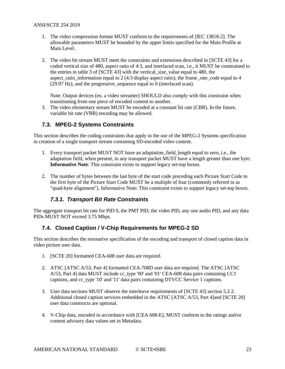- 1. The video compression format MUST conform to the requirements of [\[IEC 13818-2\].](#page-5-11) The allowable parameters MUST be bounded by the upper limits specified for the Main Profile at Main Level.
- 2. The video bit stream MUST meet the constraints and extensions described in [\[SCTE 43\]](#page-5-3) for a coded vertical size of 480, aspect ratio of 4:3, and interlaced scan, i.e., it MUST be constrained to the entries in table 3 of [\[SCTE 43\]](#page-5-3) with the vertical\_size\_value equal to 480, the aspect\_ratio\_information equal to 2 (4:3 display aspect ratio), the frame\_rate\_code equal to 4 (29.97 Hz), and the progressive\_sequence equal to 0 (interlaced scan).

Note: Output devices (ex. a video streamer) SHOULD also comply with this constraint when transitioning from one piece of encoded content to another.

3. The video elementary stream MUST be encoded at a constant bit rate (CBR). In the future, variable bit rate (VBR) encoding may be allowed.

#### <span id="page-22-0"></span>**7.3. MPEG-2 Systems Constraints**

This section describes the coding constraints that apply to the use of the MPEG-2 Systems specification in creation of a single transport stream containing SD-encoded video content.

- 1. Every transport packet MUST NOT have an adaptation\_field\_length equal to zero, i.e., the adaptation field, when present, in any transport packet MUST have a length greater than one byte. **Informative Note**: This constraint exists to support legacy set-top boxes.
- 2. The number of bytes between the last byte of the start code preceding each Picture Start Code to the first byte of the Picture Start Code MUST be a multiple of four (commonly referred to as "quad-byte alignment"). Informative Note: This constraint exists to support legacy set-top boxes.

#### *7.3.1. Transport Bit Rate Constraints*

<span id="page-22-1"></span>The aggregate transport bit rate for PID 0, the PMT PID, the video PID, any one audio PID, and any data PIDs MUST NOT exceed 3.75 Mbps.

#### <span id="page-22-2"></span>**7.4. Closed Caption / V-Chip Requirements for MPEG-2 SD**

This section describes the normative specification of the encoding and transport of closed caption data in video picture user data.

- 1. [\[SCTE 20\]](#page-4-8) formatted CEA-608 user data are required.
- 2. ATSC [\[ATSC A/53, Part](#page-5-12) 4] formatted CEA-708D user data are required. The ATSC [\[ATSC](#page-5-12)  [A/53, Part](#page-5-12) 4] data MUST include cc\_type '00' and '01' CEA-608 data pairs containing CC1 captions, and cc\_type '10' and '11' data pairs containing DTVCC Service 1 captions.
- 3. User data sections MUST observe the interleave requirements of [\[SCTE 43\]](#page-5-3) section 5.2.2. Additional closed caption services embedded in the ATSC [\[ATSC A/53, Part](#page-5-12) 4]an[d \[SCTE 20\]](#page-4-8) user data constructs are optional.
- 4. V-Chip data, encoded in accordance with [\[CEA 608-E\],](#page-5-13) MUST conform to the ratings and/or content advisory data values set in Metadata.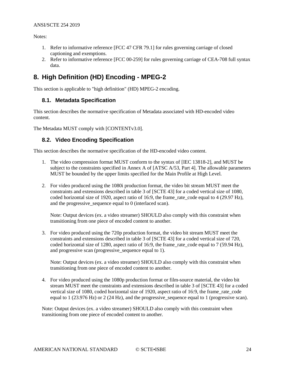Notes:

- 1. Refer to informative reference [\[FCC 47 CFR 79.1\]](#page-6-6) for rules governing carriage of closed captioning and exemptions.
- 2. Refer to informative reference [\[FCC 00-259\]](#page-6-7) for rules governing carriage of CEA-708 full syntax data.

## <span id="page-23-0"></span>**8. High Definition (HD) Encoding - MPEG-2**

<span id="page-23-1"></span>This section is applicable to "high definition" (HD) MPEG-2 encoding.

#### **8.1. Metadata Specification**

This section describes the normative specification of Metadata associated with HD-encoded video content.

<span id="page-23-2"></span>The Metadata MUST comply with [\[CONTENTv3.0\].](#page-5-2)

#### **8.2. Video Encoding Specification**

This section describes the normative specification of the HD-encoded video content.

- 1. The video compression format MUST conform to the syntax of [\[IEC 13818-2\],](#page-5-11) and MUST be subject to the constraints specified in Annex A of [\[ATSC A/53, Part](#page-5-12) 4]. The allowable parameters MUST be bounded by the upper limits specified for the Main Profile at High Level.
- 2. For video produced using the 1080i production format, the video bit stream MUST meet the constraints and extensions described in table 3 o[f \[SCTE 43\]](#page-5-3) for a coded vertical size of 1080, coded horizontal size of 1920, aspect ratio of 16:9, the frame\_rate\_code equal to 4 (29.97 Hz), and the progressive\_sequence equal to 0 (interlaced scan).

Note: Output devices (ex. a video streamer) SHOULD also comply with this constraint when transitioning from one piece of encoded content to another.

3. For video produced using the 720p production format, the video bit stream MUST meet the constraints and extensions described in table 3 o[f \[SCTE 43\]](#page-5-3) for a coded vertical size of 720, coded horizontal size of 1280, aspect ratio of 16:9, the frame\_rate\_code equal to 7 (59.94 Hz), and progressive scan (progressive\_sequence equal to 1).

Note: Output devices (ex. a video streamer) SHOULD also comply with this constraint when transitioning from one piece of encoded content to another.

4. For video produced using the 1080p production format or film-source material, the video bit stream MUST meet the constraints and extensions described in table 3 of [\[SCTE 43\]](#page-5-3) for a coded vertical size of 1080, coded horizontal size of 1920, aspect ratio of 16:9, the frame\_rate\_code equal to 1 (23.976 Hz) or 2 (24 Hz), and the progressive\_sequence equal to 1 (progressive scan).

Note: Output devices (ex. a video streamer) SHOULD also comply with this constraint when transitioning from one piece of encoded content to another.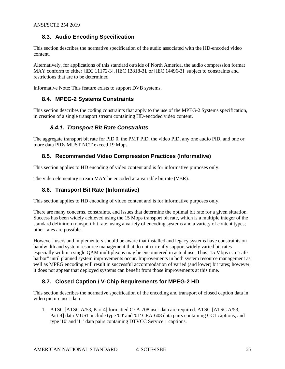#### <span id="page-24-0"></span>**8.3. Audio Encoding Specification**

This section describes the normative specification of the audio associated with the HD-encoded video content.

Alternatively, for applications of this standard outside of North America, the audio compression format MAY conform to either [\[IEC 11172-3\],](#page-5-14) [IEC 13818-3], or [\[IEC 14496-3\]](#page-5-15) subject to constraints and restrictions that are to be determined.

<span id="page-24-1"></span>Informative Note: This feature exists to support DVB systems.

#### **8.4. MPEG-2 Systems Constraints**

<span id="page-24-2"></span>This section describes the coding constraints that apply to the use of the MPEG-2 Systems specification, in creation of a single transport stream containing HD-encoded video content.

#### *8.4.1. Transport Bit Rate Constraints*

The aggregate transport bit rate for PID 0, the PMT PID, the video PID, any one audio PID, and one or more data PIDs MUST NOT exceed 19 Mbps.

#### <span id="page-24-3"></span>**8.5. Recommended Video Compression Practices (Informative)**

This section applies to HD encoding of video content and is for informative purposes only.

<span id="page-24-4"></span>The video elementary stream MAY be encoded at a variable bit rate (VBR).

#### **8.6. Transport Bit Rate (Informative)**

This section applies to HD encoding of video content and is for informative purposes only.

There are many concerns, constraints, and issues that determine the optimal bit rate for a given situation. Success has been widely achieved using the 15 Mbps transport bit rate, which is a multiple integer of the standard definition transport bit rate, using a variety of encoding systems and a variety of content types; other rates are possible.

However, users and implementers should be aware that installed and legacy systems have constraints on bandwidth and system resource management that do not currently support widely varied bit rates– especially within a single QAM multiplex as may be encountered in actual use. Thus, 15 Mbps is a "safe harbor" until planned system improvements occur. Improvements in both system resource management as well as MPEG encoding will result in successful accommodation of varied (and lower) bit rates; however, it does not appear that deployed systems can benefit from those improvements at this time.

#### <span id="page-24-5"></span>**8.7. Closed Caption / V-Chip Requirements for MPEG-2 HD**

This section describes the normative specification of the encoding and transport of closed caption data in video picture user data.

1. ATSC [\[ATSC A/53, Part](#page-5-12) 4] formatted CEA-708 user data are required. ATSC [\[ATSC A/53,](#page-5-12)  [Part](#page-5-12) 4] data MUST include type '00' and '01' CEA-608 data pairs containing CC1 captions, and type '10' and '11' data pairs containing DTVCC Service 1 captions.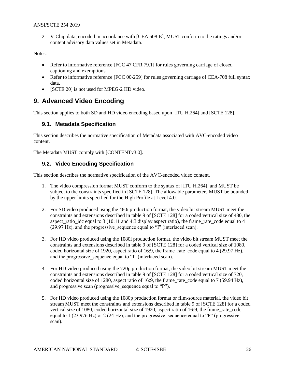2. V-Chip data, encoded in accordance with [\[CEA 608-E\],](#page-5-13) MUST conform to the ratings and/or content advisory data values set in Metadata.

Notes:

- Refer to informative reference [\[FCC 47 CFR 79.1\]](#page-6-6) for rules governing carriage of closed captioning and exemptions.
- Refer to informative reference [\[FCC 00-259\]](#page-6-7) for rules governing carriage of CEA-708 full syntax data.
- [\[SCTE 20\]](#page-4-8) is not used for MPEG-2 HD video.

## <span id="page-25-0"></span>**9. Advanced Video Encoding**

<span id="page-25-1"></span>This section applies to both SD and HD video encoding based upon [\[ITU H.264\]](#page-5-16) and [\[SCTE 128\].](#page-4-6)

#### **9.1. Metadata Specification**

This section describes the normative specification of Metadata associated with AVC-encoded video content.

<span id="page-25-2"></span>The Metadata MUST comply with [\[CONTENTv3.0\].](#page-5-2)

#### **9.2. Video Encoding Specification**

This section describes the normative specification of the AVC-encoded video content.

- 1. The video compression format MUST conform to the syntax of [\[ITU H.264\],](#page-5-16) and MUST be subject to the constraints specified in [\[SCTE 128\].](#page-4-6) The allowable parameters MUST be bounded by the upper limits specified for the High Profile at Level 4.0.
- 2. For SD video produced using the 480i production format, the video bit stream MUST meet the constraints and extensions described in table 9 o[f \[SCTE 128\]](#page-4-6) for a coded vertical size of 480, the aspect ratio idc equal to 3 (10:11 and 4:3 display aspect ratio), the frame rate code equal to 4  $(29.97 \text{ Hz})$ , and the progressive sequence equal to "I" (interlaced scan).
- 3. For HD video produced using the 1080i production format, the video bit stream MUST meet the constraints and extensions described in table 9 o[f \[SCTE 128\]](#page-4-6) for a coded vertical size of 1080, coded horizontal size of 1920, aspect ratio of 16:9, the frame\_rate\_code equal to 4 (29.97 Hz), and the progressive sequence equal to "I" (interlaced scan).
- 4. For HD video produced using the 720p production format, the video bit stream MUST meet the constraints and extensions described in table 9 o[f \[SCTE 128\]](#page-4-6) for a coded vertical size of 720, coded horizontal size of 1280, aspect ratio of 16:9, the frame rate code equal to 7 (59.94 Hz), and progressive scan (progressive sequence equal to "P").
- 5. For HD video produced using the 1080p production format or film-source material, the video bit stream MUST meet the constraints and extensions described in table 9 of [\[SCTE 128\]](#page-4-6) for a coded vertical size of 1080, coded horizontal size of 1920, aspect ratio of 16:9, the frame\_rate\_code equal to 1 (23.976 Hz) or 2 (24 Hz), and the progressive sequence equal to "P" (progressive scan).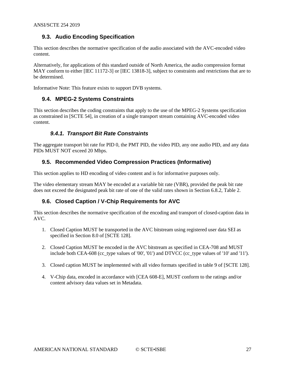#### <span id="page-26-0"></span>**9.3. Audio Encoding Specification**

This section describes the normative specification of the audio associated with the AVC-encoded video content.

Alternatively, for applications of this standard outside of North America, the audio compression format MAY conform to either [\[IEC 11172-3\]](#page-5-14) or [\[IEC 13818-3\],](#page-5-17) subject to constraints and restrictions that are to be determined.

<span id="page-26-1"></span>Informative Note: This feature exists to support DVB systems.

#### **9.4. MPEG-2 Systems Constraints**

This section describes the coding constraints that apply to the use of the MPEG-2 Systems specification as constrained i[n \[SCTE 54\],](#page-5-18) in creation of a single transport stream containing AVC-encoded video content.

#### *9.4.1. Transport Bit Rate Constraints*

<span id="page-26-2"></span>The aggregate transport bit rate for PID 0, the PMT PID, the video PID, any one audio PID, and any data PIDs MUST NOT exceed 20 Mbps.

#### <span id="page-26-3"></span>**9.5. Recommended Video Compression Practices (Informative)**

This section applies to HD encoding of video content and is for informative purposes only.

The video elementary stream MAY be encoded at a variable bit rate (VBR), provided the peak bit rate does not exceed the designated peak bit rate of one of the valid rates shown in Section 6.8.2, [Table 2.](#page-19-1)

#### <span id="page-26-4"></span>**9.6. Closed Caption / V-Chip Requirements for AVC**

This section describes the normative specification of the encoding and transport of closed-caption data in AVC.

- 1. Closed Caption MUST be transported in the AVC bitstream using registered user data SEI as specified in Section 8.0 of [\[SCTE 128\].](#page-4-6)
- 2. Closed Caption MUST be encoded in the AVC bitstream as specified in CEA-708 and MUST include both CEA-608 (cc\_type values of '00', '01') and DTVCC (cc\_type values of '10' and '11').
- 3. Closed caption MUST be implemented with all video formats specified in table 9 o[f \[SCTE 128\].](#page-4-6)
- 4. V-Chip data, encoded in accordance with [\[CEA 608-E\],](#page-5-13) MUST conform to the ratings and/or content advisory data values set in Metadata.